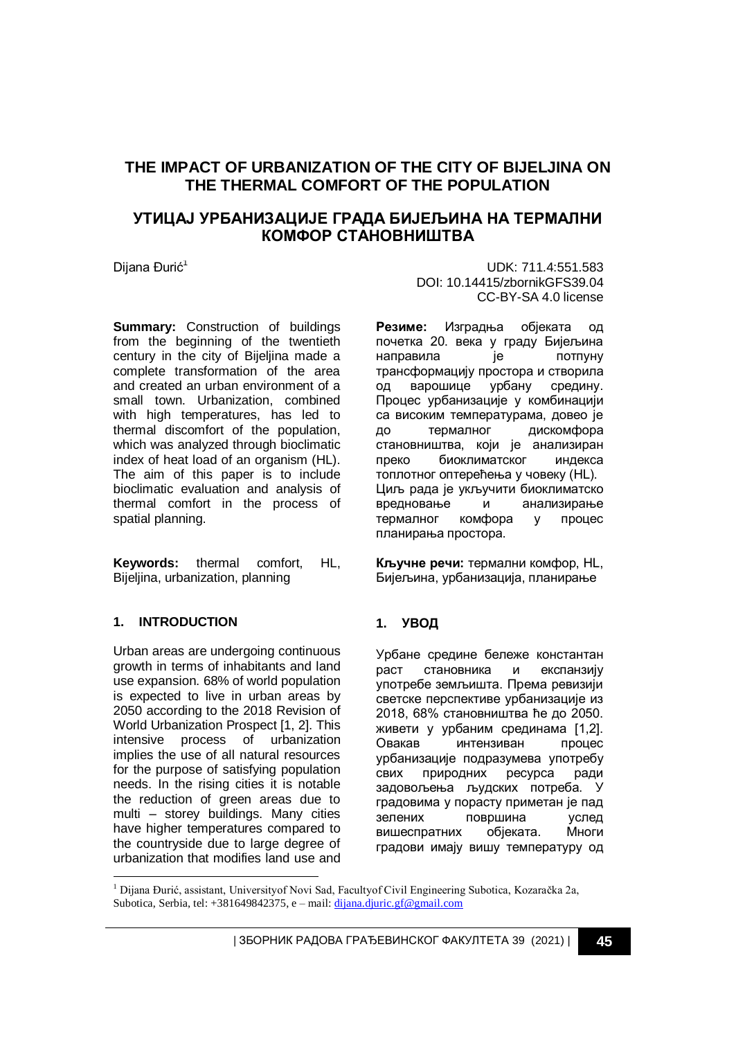# **THE IMPACT OF URBANIZATION OF THE CITY OF BIJELJINA ON THE THERMAL COMFORT OF THE POPULATION**

# **УТИЦАЈ УРБАНИЗАЦИЈЕ ГРАДА БИЈЕЉИНА НА ТЕРМАЛНИ КОМФОР СТАНОВНИШТВА**

**Summary:** Construction of buildings from the beginning of the twentieth century in the city of Bijeljina made a complete transformation of the area and created an urban environment of a small town. Urbanization, combined with high temperatures, has led to thermal discomfort of the population, which was analyzed through bioclimatic index of heat load of an organism (HL). The aim of this paper is to include bioclimatic evaluation and analysis of thermal comfort in the process of spatial planning.

**Keywords:** thermal comfort, HL, Bijeljina, urbanization, planning

### **1. INTRODUCTION**

-

Urban areas are undergoing continuous growth in terms of inhabitants and land use expansion. 68% of world population is expected to live in urban areas by 2050 according to the 2018 Revision of World Urbanization Prospect [1, 2]. This intensive process of urbanization implies the use of all natural resources for the purpose of satisfying population needs. In the rising cities it is notable the reduction of green areas due to multi – storey buildings. Many cities have higher temperatures compared to the countryside due to large degree of urbanization that modifies land use and

Dijana Đurić<sup>1</sup> UDK: 711.4:551.583 DOI: 10.14415/zbornikGFS39.04 CC-BY-SA 4.0 license

> **Резиме:** Изградња објеката од почетка 20. века у граду Бијељина направила је потпуну трансформацију простора и створила од варошице урбану средину. Процес урбанизације у комбинацији са високим температурама, довео је до термалног дискомфора становништва, који је анализиран преко биоклиматског индекса топлотног оптерећења у човеку (HL). Циљ рада је укључити биоклиматско вредновање и анализирање термалног комфора у процес планирања простора.

**Кључне речи:** термални комфор, HL, Бијељина, урбанизација, планирање

### **1. УВОД**

Урбане средине бележе константан раст становника и експанзију употребе земљишта. Према ревизији светске перспективе урбанизације из 2018, 68% становништва ће до 2050. живети у урбаним срединама [1,2]. Овакав интензиван процес урбанизације подразумева употребу свих природних ресурса ради задовољења људских потреба. У градовима у порасту приметан је пад зелених површина услед вишеспратних објеката. Многи градови имају вишу температуру од

<sup>1</sup> Dijana Đurić, assistant, Universityof Novi Sad, Facultyof Civil Engineering Subotica, Kozaračka 2a, Subotica, Serbia, tel: +381649842375, e – mail[: dijana.djuric.gf@gmail.com](mailto:dijana.djuric.gf@gmail.com)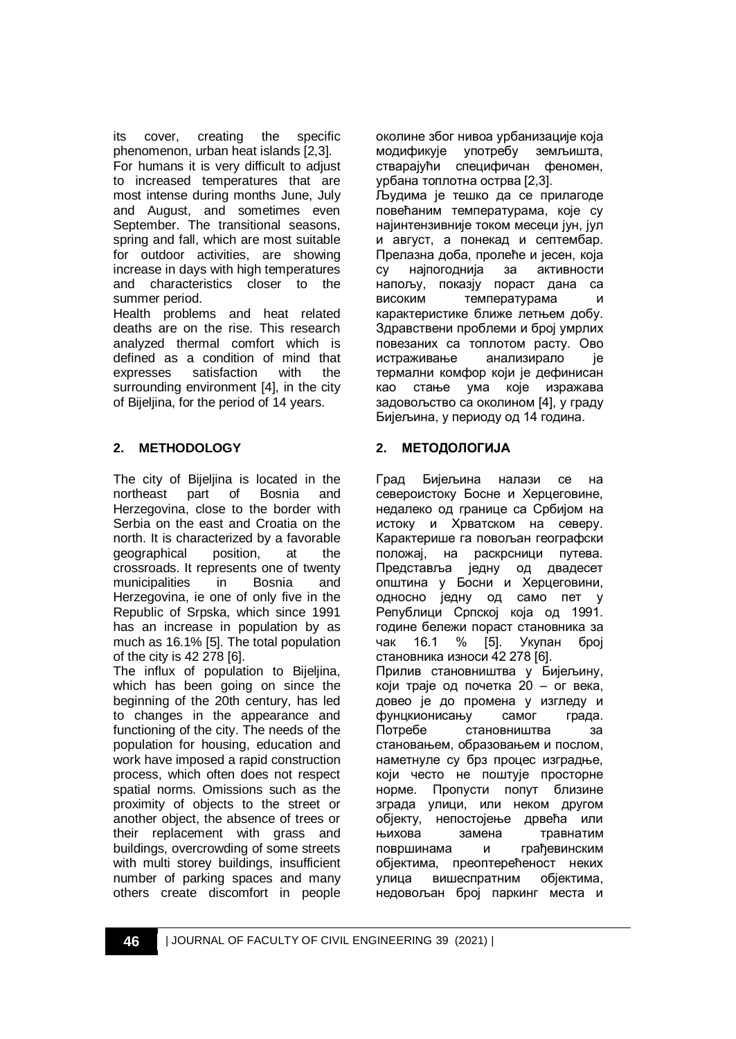its cover, creating the specific phenomenon, urban heat islands [2,3]. For humans it is very difficult to adjust to increased temperatures that are most intense during months June, July and August, and sometimes even September. The transitional seasons, spring and fall, which are most suitable for outdoor activities, are showing increase in days with high temperatures and characteristics closer to the summer period.

Health problems and heat related deaths are on the rise. This research analyzed thermal comfort which is defined as a condition of mind that expresses satisfaction with the surrounding environment [4], in the city of Bijeljina, for the period of 14 years.

## **2. METHODOLOGY**

The city of Bijeljina is located in the northeast part of Bosnia and Herzegovina, close to the border with Serbia on the east and Croatia on the north. It is characterized by a favorable geographical position, at the crossroads. It represents one of twenty municipalities in Bosnia and Herzegovina, ie one of only five in the Republic of Srpska, which since 1991 has an increase in population by as much as 16.1% [5]. The total population of the city is 42 278 [6].

The influx of population to Bijeljina, which has been going on since the beginning of the 20th century, has led to changes in the appearance and functioning of the city. The needs of the population for housing, education and work have imposed a rapid construction process, which often does not respect spatial norms. Omissions such as the proximity of objects to the street or another object, the absence of trees or their replacement with grass and buildings, overcrowding of some streets with multi storey buildings, insufficient number of parking spaces and many others create discomfort in people околине због нивоа урбанизације која модификује употребу земљишта, стварајући специфичан феномен, урбана топлотна острва [2,3]. Људима је тешко да се прилагоде повећаним температурама, које су најинтензивније током месеци јун, јул и август, а понекад и септембар. Прелазна доба, пролеће и јесен, која су најпогоднија за активности напољу, показју пораст дана са високим температурама и карактеристике ближе летњем добу. Здравствени проблеми и број умрлих повезаних са топлотом расту. Ово истраживање анализирало је термални комфор који је дефинисан као стање ума које изражава задовољство са околином [4], у граду Бијељина, у периоду од 14 година.

## **2. МЕТОДОЛОГИЈА**

Град Бијељина налази се на североистоку Босне и Херцеговине, недалеко од границе са Србијом на истоку и Хрватском на северу. Карактерише га повољан географски положај, на раскрсници путева. Представља једну од двадесет општина у Босни и Херцеговини, односно једну од само пет у Републици Српској која од 1991. године бележи пораст становника за<br>чак 16.1 % [5]. Укупан број чак 16.1 % [5]. Укупан број становника износи 42 278 [6]. Прилив становништва у Бијељину, који траје од почетка 20 – ог века, довео је до промена у изгледу и фунцкионисању самог града. Потребе становништва за становањем, образовањем и послом, наметнуле су брз процес изградње, који често не поштује просторне норме. Пропусти попут близине зграда улици, или неком другом објекту, непостојење дрвећа или њихова замена травнатим површинама и грађевинским објектима, преоптерећеност неких улица вишеспратним објектима, недовољан број паркинг места и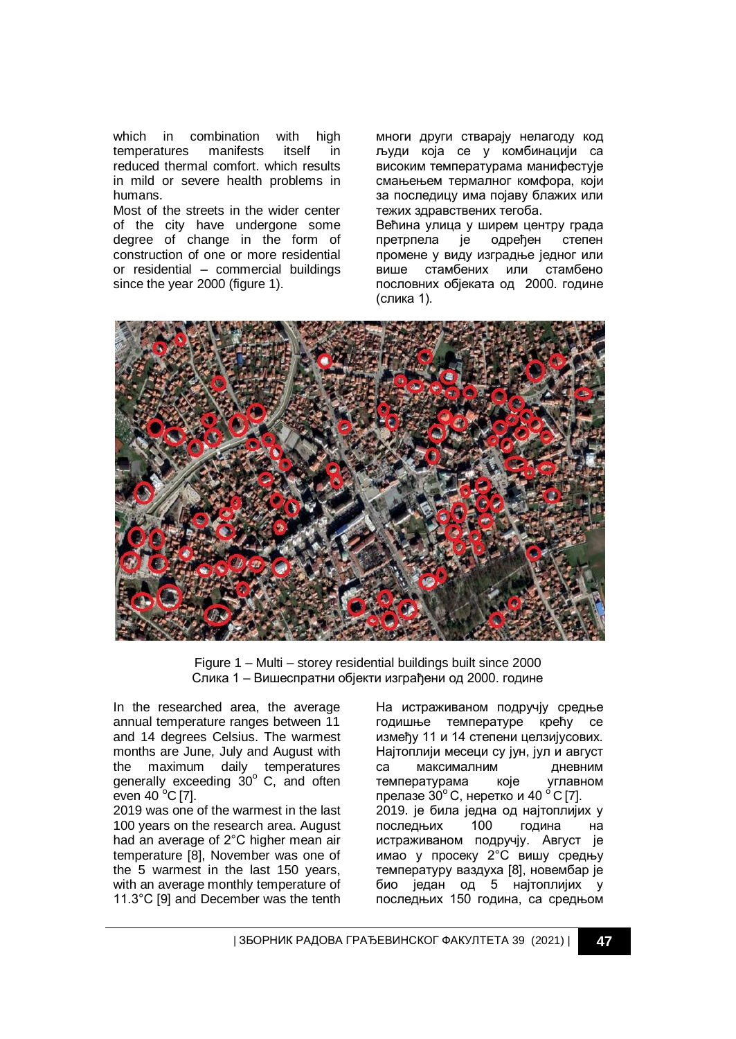which in combination with high temperatures manifests itself in reduced thermal comfort. which results in mild or severe health problems in humans.

Most of the streets in the wider center of the city have undergone some degree of change in the form of construction of one or more residential or residential – commercial buildings since the year 2000 (figure 1).

многи други стварају нелагоду код људи која се у комбинацији са високим температурама манифестује смањењем термалног комфора, који за последицу има појаву блажих или тежих здравствених тегоба.

Већина улица у ширем центру града претрпела је одређен степен промене у виду изградње једног или више стамбених или стамбено пословних објеката од 2000. године (слика 1).



Figure 1 – Multi – storey residential buildings built since 2000 Слика 1 – Вишеспратни објекти изграђени од 2000. године

In the researched area, the average annual temperature ranges between 11 and 14 degrees Celsius. The warmest months are June, July and August with the maximum daily temperatures generally exceeding 30° C, and often even  $40^{\circ}$ C [7].

2019 was one of the warmest in the last 100 years on the research area. August had an average of 2°С higher mean air temperature [8], November was one of the 5 warmest in the last 150 years, with an average monthly temperature of 11.3°С [9] and December was the tenth На истраживаном подручју средње годишње температуре крећу се између 11 и 14 степени целзијусових. Најтоплији месеци су јун, јул и август са максималним дневним температурама које углавном прелазе  $30^{\circ}$  С, неретко и 40  $^{\circ}$  С [7]. 2019. је била једна од најтоплијих у последњих 100 година на истраживаном подручју. Aвгуст је имао у просеку 2°С вишу средњу температуру ваздуха [8], новембар је био један од 5 најтоплијих у последњих 150 година, са средњом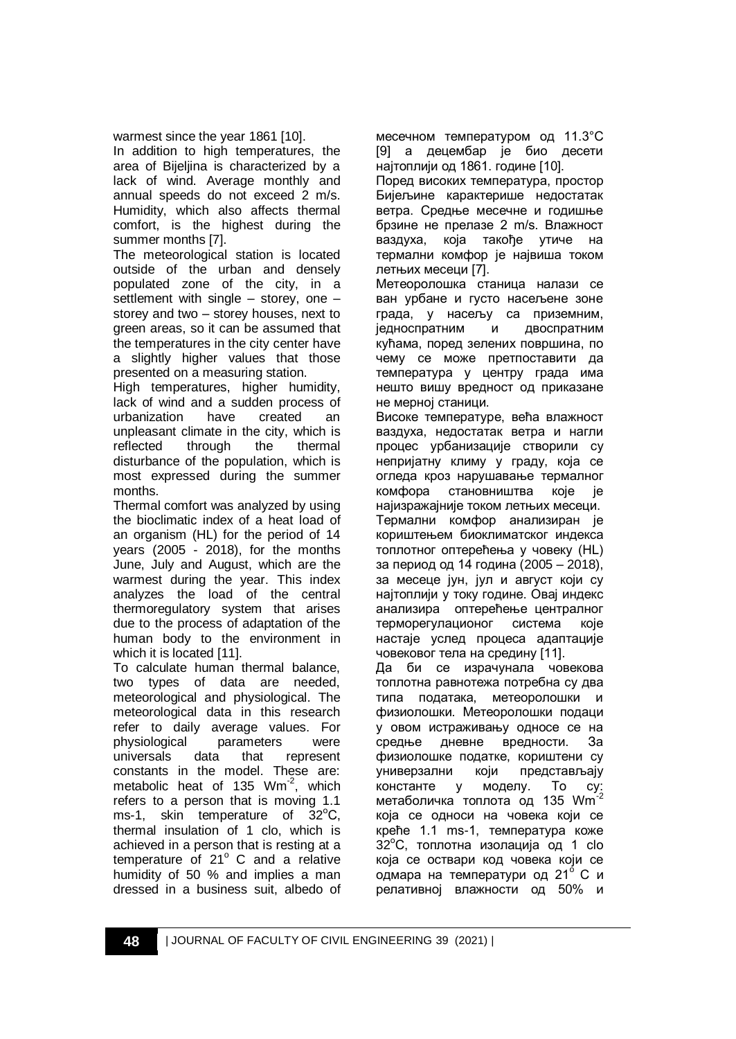warmest since the year 1861 [10].

In addition to high temperatures, the area of Bijeljina is characterized by a lack of wind. Average monthly and annual speeds do not exceed 2 m/s. Humidity, which also affects thermal comfort, is the highest during the summer months [7].

The meteorological station is located outside of the urban and densely populated zone of the city, in a settlement with single – storey, one – storey and two – storey houses, next to green areas, so it can be assumed that the temperatures in the city center have a slightly higher values that those presented on a measuring station.

High temperatures, higher humidity, lack of wind and a sudden process of urbanization have created an unpleasant climate in the city, which is reflected through the thermal disturbance of the population, which is most expressed during the summer months.

Thermal comfort was analyzed by using the bioclimatic index of a heat load of an organism (HL) for the period of 14 years (2005 - 2018), for the months June, July and August, which are the warmest during the year. This index analyzes the load of the central thermoregulatory system that arises due to the process of adaptation of the human body to the environment in which it is located [11].

To calculate human thermal balance, two types of data are needed, meteorological and physiological. The meteorological data in this research refer to daily average values. For physiological parameters were universals data that represent constants in the model. These are: metabolic heat of 135  $Wm^{-2}$ , which refers to a person that is moving 1.1 ms-1, skin temperature of  $32^{\circ}$ C, thermal insulation of 1 clo, which is achieved in a person that is resting at a temperature of  $21^\circ$  C and a relative humidity of 50 % and implies a man dressed in a business suit, albedo of

месечном температуром од 11.3°С [9] а децембар је био десети најтоплији од 1861. године [10].

Поред високих температура, простор Бијељине карактерише недостатак ветра. Средње месечне и годишње брзине не прелазе 2 m/s. Влажност ваздуха, која такође утиче на термални комфор је највиша током летњих месеци [7].

Метеоролошка станица налази се ван урбане и густо насељене зоне града, у насељу са приземним, једноспратним и двоспратним кућама, поред зелених површина, по чему се може претпоставити да температура у центру града има нешто вишу вредност од приказане не мерној станици.

Високе температуре, већа влажност ваздуха, недостатак ветра и нагли процес урбанизације створили су непријатну климу у граду, која се огледа кроз нарушавање термалног комфора становништва које је најизражајније током летњих месеци. Термални комфор анализиран је кориштењем биоклиматског индекса топлотног оптерећења у човеку (HL) за период од 14 година (2005 – 2018), за месеце јун, јул и август који су најтоплији у току године. Овај индекс анализира оптерећење централног терморегулационог система које настаје услед процеса адаптације човековог тела на средину [11].

Да би се израчунала човекова топлотна равнотежа потрeбна су два типа података, метеоролошки и физиолошки. Метеоролошки подаци у овом истраживању односе се на средње дневне вредности. За физиолошке податке, кориштени су универзални који представљају константе у моделу. То су: метаболичка топлота од 135 Wm<sup>-</sup> која се односи на човека који се креће 1.1 ms-1, температура коже 32<sup>°</sup>С, топлотна изолација од 1 clo која се оствари код човека који се одмара на температури од 21° С и релативној влажности од 50% и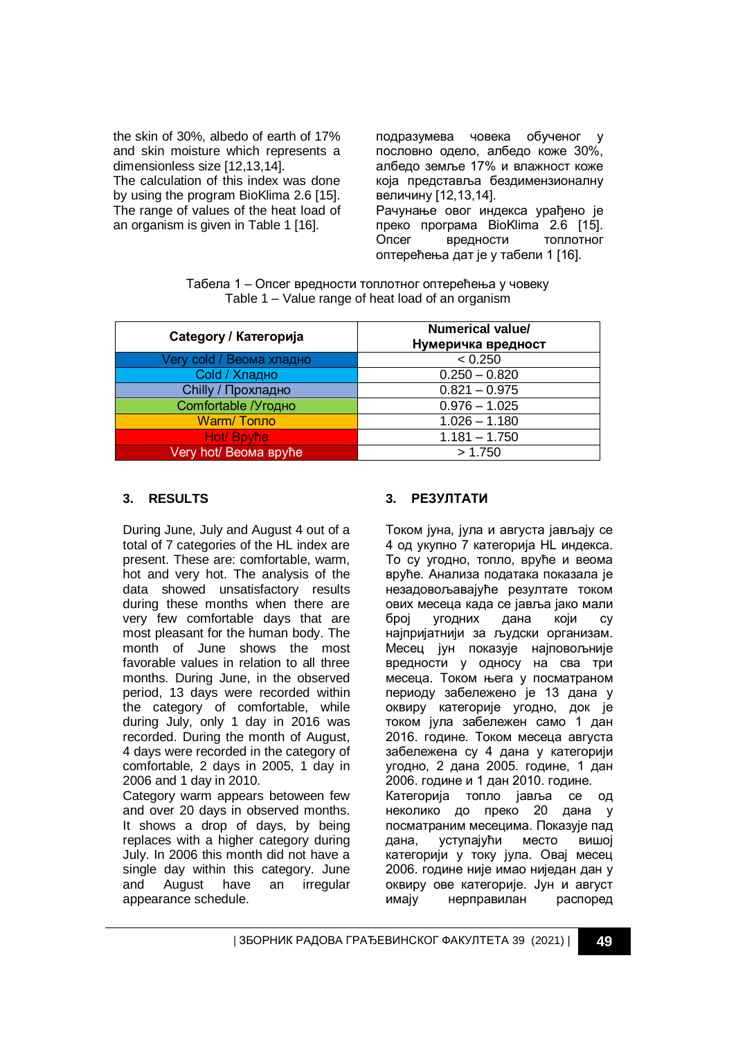the skin of 30%, albedo of earth of 17% and skin moisture which represents a dimensionless size [12,13,14]. The calculation of this index was done by using the program BioKlima 2.6 [15]. The range of values of the heat load of an organism is given in Table 1 [16].

подразумева човека обученог пословно одело, албедо коже 30%, албедо земље 17% и влажност коже која представља бездимензионалну величину [12,13,14]. Рачунање овог индекса урађено је преко програма BioKlima 2.6 [15]. Опсег вредности топлотног оптерећења дат је у табели 1 [16].

Табела 1 – Опсег вредности топлотног оптерећења у човеку Table 1 – Value range of heat load of an organism

| Category / Категорија    | Numerical value/<br>Нумеричка вредност |
|--------------------------|----------------------------------------|
| Very cold / Веома хладно | < 0.250                                |
| Cold / Хладно            | $0.250 - 0.820$                        |
| Chilly / Прохладно       | $0.821 - 0.975$                        |
| Comfortable /Угодно      | $0.976 - 1.025$                        |
| Warm/Tonno               | $1.026 - 1.180$                        |
| Hot/ Bpyhe               | $1.181 - 1.750$                        |
| Very hot/ Веома вруће    | > 1.750                                |

#### **3. RESULTS**

During June, July and August 4 out of a total of 7 categories of the HL index are present. These are: comfortable, warm, hot and very hot. The analysis of the data showed unsatisfactory results during these months when there are very few comfortable days that are most pleasant for the human body. The month of June shows the most favorable values in relation to all three months. During June, in the observed period, 13 days were recorded within the category of comfortable, while during July, only 1 day in 2016 was recorded. During the month of August, 4 days were recorded in the category of comfortable, 2 days in 2005, 1 day in 2006 and 1 day in 2010. Category warm appears betoween few

and over 20 days in observed months. It shows a drop of days, by being replaces with a higher category during July. In 2006 this month did not have a single day within this category. June and August have an irregular appearance schedule.

#### **3. РЕЗУЛТАТИ**

Током јуна, јула и августа јављају се 4 од укупно 7 категорија HL индекса. То су угодно, топло, вруће и веома вруће. Анализа података показала је незадовољавајуће резултате током ових месеца када се јавља јако мали број угодних дана који су најпријатнији за људски организам. Месец јун показује најповољније вредности у односу на сва три месеца. Током њега у посматраном периоду забележено је 13 дана у оквиру категорије угодно, док је током јула забележен само 1 дан 2016. године. Током месеца августа забележена су 4 дана у категорији угодно, 2 дана 2005. године, 1 дан 2006. године и 1 дан 2010. године. Категорија топло јавља се од неколико до преко 20 дана у посматраним месецима. Показује пад дана, уступајући место вишој категорији у току јула. Овај месец 2006. године није имао ниједан дан у оквиру ове категорије. Jун и август имају нерправилан распоред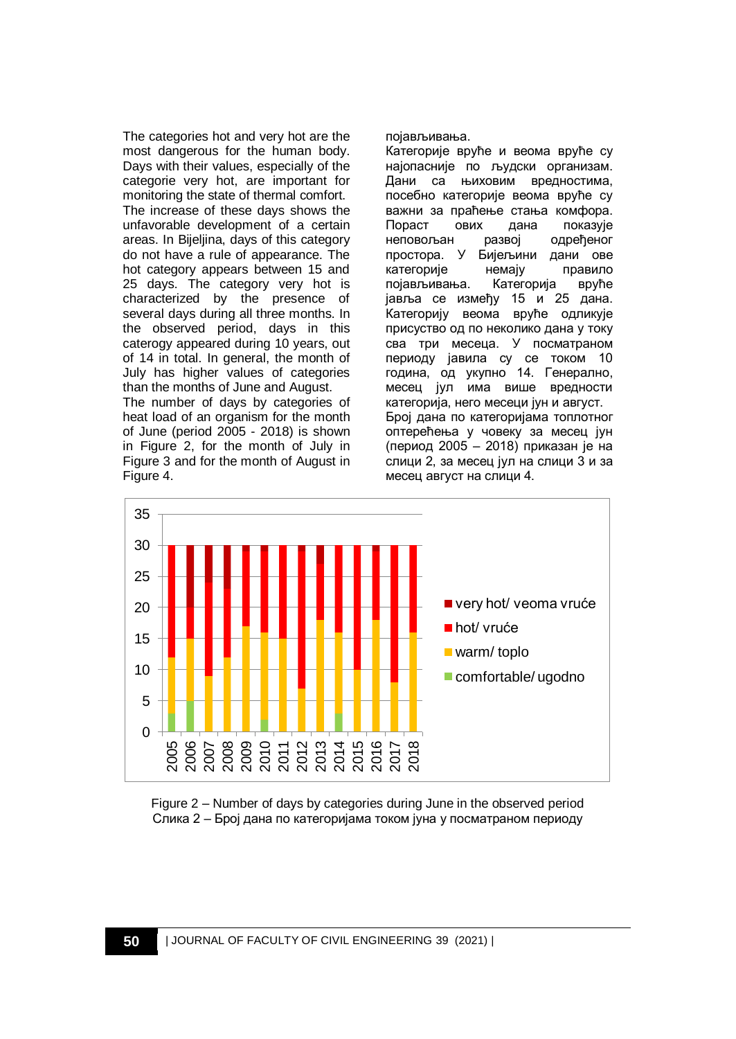The categories hot and very hot are the most dangerous for the human body. Days with their values, especially of the categorie very hot, are important for monitoring the state of thermal comfort. The increase of these days shows the unfavorable development of a certain areas. In Bijeljina, days of this category do not have a rule of appearance. The hot category appears between 15 and 25 days. The category very hot is characterized by the presence of several days during all three months. In the observed period, days in this caterogy appeared during 10 years, out of 14 in total. In general, the month of July has higher values of categories than the months of June and August. The number of days by categories of heat load of an organism for the month of June (period 2005 - 2018) is shown in Figure 2, for the month of July in Figure 3 and for the month of August in Figure 4.

појављивања.

Категорије вруће и веома вруће су најопасније по људски организам. Дани са њиховим вредностима, посебно категорије веома вруће су важни за праћење стања комфора. Пораст ових дана показује неповољан развој одређеног простора. У Бијељини дани ове категорије немају правило појављивања. Категорија вруће јавља се између 15 и 25 дана. Категорију веома вруће одликује присуство од по неколико дана у току сва три месеца. У посматраном периоду јавила су се током 10 година, од укупно 14. Генерално, месец јул има више вредности категорија, него месеци јун и август. Број дана по категоријама топлотног оптерећења у човеку за месец јун (период 2005 – 2018) приказан је на слици 2, за месец јул на слици 3 и за месец август на слици 4.



Figure 2 – Number of days by categories during June in the observed period Слика 2 – Број дана по категоријама током јуна у посматраном периоду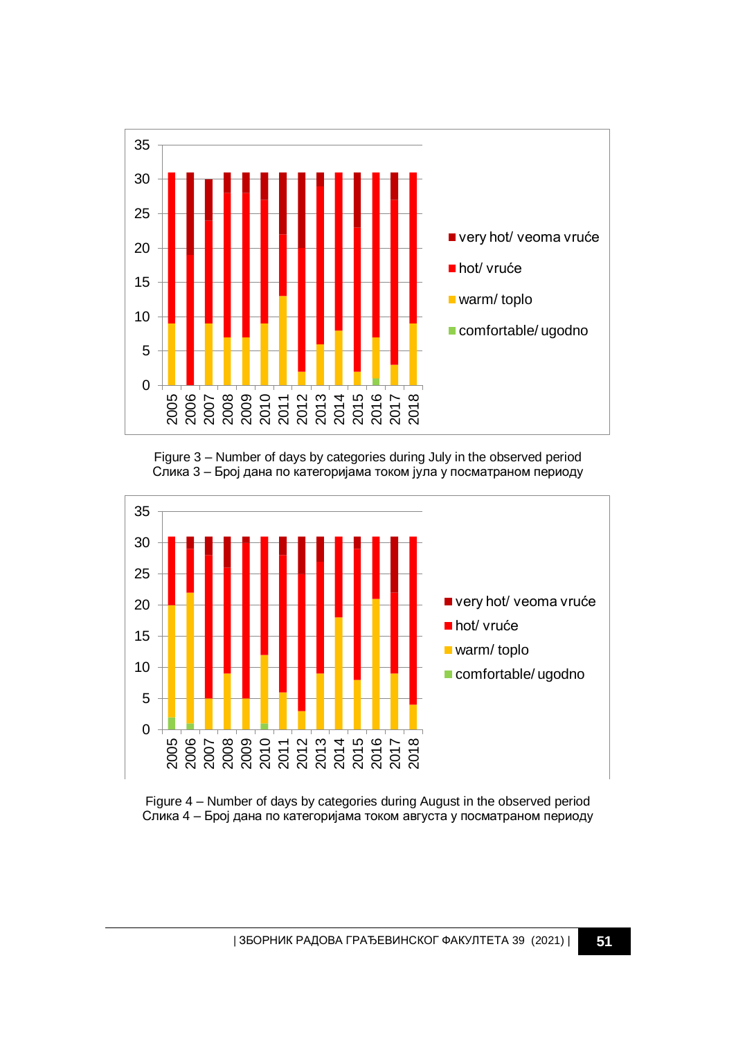

Figure 3 – Number of days by categories during July in the observed period Слика 3 – Број дана по категоријама током јула у посматраном периоду



Figure 4 – Number of days by categories during August in the observed period Слика 4 – Број дана по категоријама током августа у посматраном периоду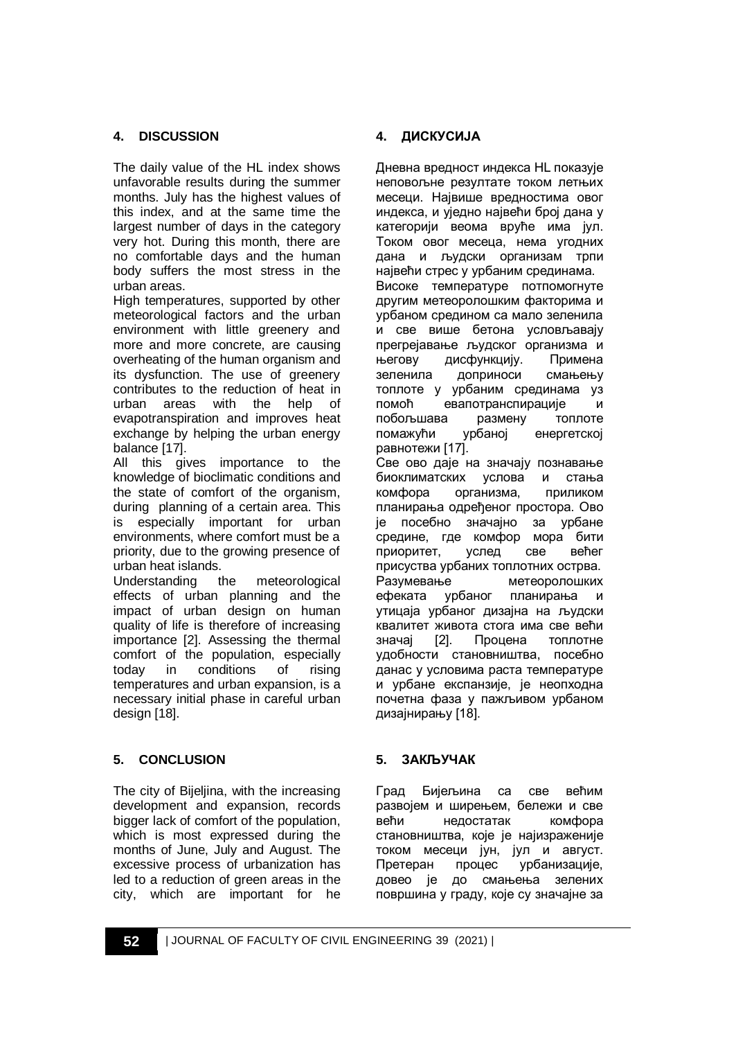## **4. DISCUSSION**

The daily value of the HL index shows unfavorable results during the summer months. July has the highest values of this index, and at the same time the largest number of days in the category very hot. During this month, there are no comfortable days and the human body suffers the most stress in the urban areas.

High temperatures, supported by other meteorological factors and the urban environment with little greenery and more and more concrete, are causing overheating of the human organism and its dysfunction. The use of greenery contributes to the reduction of heat in urban areas with the help of evapotranspiration and improves heat exchange by helping the urban energy balance [17].

All this gives importance to the knowledge of bioclimatic conditions and the state of comfort of the organism, during planning of a certain area. This is especially important for urban environments, where comfort must be a priority, due to the growing presence of urban heat islands.

Understanding the meteorological effects of urban planning and the impact of urban design on human quality of life is therefore of increasing importance [2]. Assessing the thermal comfort of the population, especially today in conditions of rising temperatures and urban expansion, is a necessary initial phase in careful urban design [18].

## **5. CONCLUSION**

The city of Bijeljina, with the increasing development and expansion, records bigger lack of comfort of the population, which is most expressed during the months of June, July and August. The excessive process of urbanization has led to a reduction of green areas in the city, which are important for he

### **4. ДИСКУСИЈА**

Дневна вредност индекса HL показује неповољне резултате током летњих месеци. Највише вредностима овог индекса, и уједно највећи број дана у категорији веома вруће има јул. Током овог месеца, нема угодних дана и људски организам трпи највећи стрес у урбаним срединама. Високе температуре потпомогнуте другим метеоролошким факторима и урбаном средином са мало зеленила и све више бетона условљавају прегрејавање људског организма и његову дисфункцију. Примена зеленила доприноси смањењу топлоте у урбаним срединама уз помоћ евапотранспирације и побољшава размену топлоте помажући урбаној енергетској равнотежи [17]. Све ово даје на значају познавање биоклиматских услова и стања комфора организма, приликом планирања одређеног простора. Ово је посебно значајно за урбане средине, где комфор мора бити приоритет, услед све већег присуства урбаних топлотних острва. Разумевање метеоролошких ефеката урбаног планирања и утицаја урбаног дизајна на људски квалитет живота стога има све већи значај [2]. Процена топлотне удобности становништва, посебно данас у условима раста температуре и урбане експанзије, је неопходна почетна фаза у пажљивом урбаном дизајнирању [18].

### **5. ЗАКЉУЧАК**

Град Бијељина са све већим развојем и ширењем, бележи и све већи недостатак комфора становништва, које је најизраженије током месеци јун, јул и август. Претеран процес урбанизације, довео је до смањења зелених површина у граду, које су значајне за